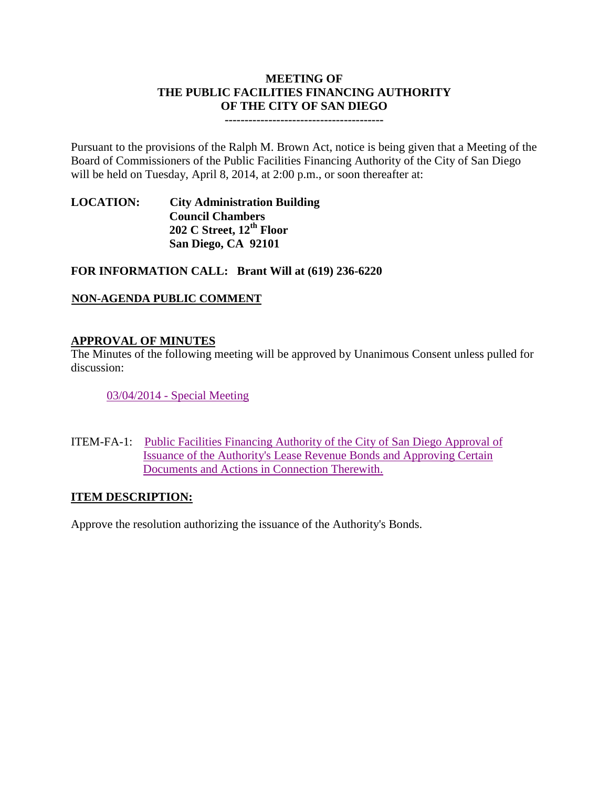# **MEETING OF THE PUBLIC FACILITIES FINANCING AUTHORITY OF THE CITY OF SAN DIEGO**

**----------------------------------------**

Pursuant to the provisions of the Ralph M. Brown Act, notice is being given that a Meeting of the Board of Commissioners of the Public Facilities Financing Authority of the City of San Diego will be held on Tuesday, April 8, 2014, at 2:00 p.m., or soon thereafter at:

**LOCATION: City Administration Building Council Chambers 202 C Street, 12th Floor San Diego, CA 92101**

**FOR INFORMATION CALL: Brant Will at (619) 236-6220**

### **NON-AGENDA PUBLIC COMMENT**

### **APPROVAL OF MINUTES**

The Minutes of the following meeting will be approved by Unanimous Consent unless pulled for discussion:

03/04/2014 - [Special Meeting](http://www.sandiego.gov/city-clerk/pdf/pffa/pffaminutes140408.pdf)

ITEM-FA-1: [Public Facilities Financing Authority of the City of San Diego Approval of](http://www.sandiego.gov/city-clerk/pdf/pffa/pffaexhibit140408.pdf)  [Issuance of the Authority's Lease Revenue Bonds and Approving Certain](http://www.sandiego.gov/city-clerk/pdf/pffa/pffaexhibit140408.pdf)  [Documents and Actions in](http://www.sandiego.gov/city-clerk/pdf/pffa/pffaexhibit140408.pdf) Connection Therewith.

#### **ITEM DESCRIPTION:**

Approve the resolution authorizing the issuance of the Authority's Bonds.